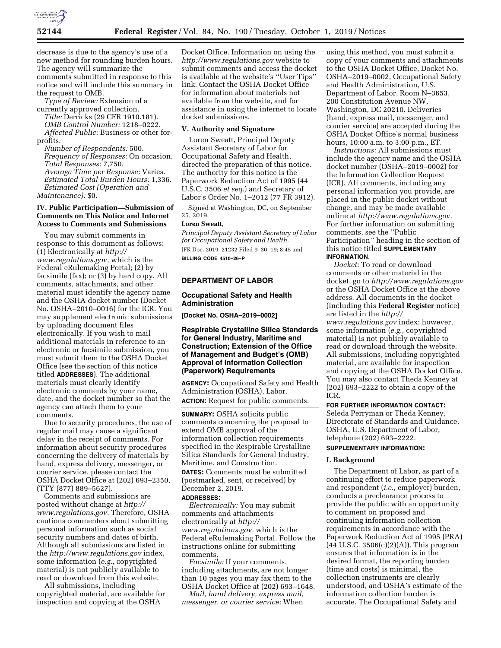

decrease is due to the agency's use of a new method for rounding burden hours. The agency will summarize the comments submitted in response to this notice and will include this summary in the request to OMB.

*Type of Review:* Extension of a currently approved collection.

*Title:* Derricks (29 CFR 1910.181). *OMB Control Number:* 1218–0222. *Affected Public:* Business or other forprofits.

*Number of Respondents:* 500. *Frequency of Responses:* On occasion. *Total Responses:* 7,750. *Average Time per Response:* Varies. *Estimated Total Burden Hours:* 1,336. *Estimated Cost (Operation and Maintenance):* \$0.

# **IV. Public Participation—Submission of Comments on This Notice and Internet Access to Comments and Submissions**

You may submit comments in response to this document as follows: (1) Electronically at *http:// www.regulations.gov,* which is the Federal eRulemaking Portal; (2) by facsimile (fax); or (3) by hard copy. All comments, attachments, and other material must identify the agency name and the OSHA docket number (Docket No. OSHA–2010–0016) for the ICR. You may supplement electronic submissions by uploading document files electronically. If you wish to mail additional materials in reference to an electronic or facsimile submission, you must submit them to the OSHA Docket Office (see the section of this notice titled **ADDRESSES**). The additional materials must clearly identify electronic comments by your name, date, and the docket number so that the agency can attach them to your comments.

Due to security procedures, the use of regular mail may cause a significant delay in the receipt of comments. For information about security procedures concerning the delivery of materials by hand, express delivery, messenger, or courier service, please contact the OSHA Docket Office at (202) 693–2350, (TTY (877) 889–5627).

Comments and submissions are posted without change at *http:// www.regulations.gov.* Therefore, OSHA cautions commenters about submitting personal information such as social security numbers and dates of birth. Although all submissions are listed in the *http://www.regulations.gov* index, some information (*e.g.,* copyrighted material) is not publicly available to read or download from this website.

All submissions, including copyrighted material, are available for inspection and copying at the OSHA

Docket Office. Information on using the *http://www.regulations.gov* website to submit comments and access the docket is available at the website's ''User Tips'' link. Contact the OSHA Docket Office for information about materials not available from the website, and for assistance in using the internet to locate docket submissions.

### **V. Authority and Signature**

Loren Sweatt, Principal Deputy Assistant Secretary of Labor for Occupational Safety and Health, directed the preparation of this notice. The authority for this notice is the Paperwork Reduction Act of 1995 (44 U.S.C. 3506 *et seq.*) and Secretary of Labor's Order No. 1–2012 (77 FR 3912).

Signed at Washington, DC, on September 25, 2019.

#### **Loren Sweatt,**

*Principal Deputy Assistant Secretary of Labor for Occupational Safety and Health.*  [FR Doc. 2019–21232 Filed 9–30–19; 8:45 am] **BILLING CODE 4510–26–P** 

# **DEPARTMENT OF LABOR**

### **Occupational Safety and Health Administration**

**[Docket No. OSHA–2019–0002]** 

# **Respirable Crystalline Silica Standards for General Industry, Maritime and Construction; Extension of the Office of Management and Budget's (OMB) Approval of Information Collection (Paperwork) Requirements**

**AGENCY:** Occupational Safety and Health Administration (OSHA), Labor. **ACTION:** Request for public comments.

**SUMMARY:** OSHA solicits public comments concerning the proposal to extend OMB approval of the information collection requirements specified in the Respirable Crystalline Silica Standards for General Industry, Maritime, and Construction.

**DATES:** Comments must be submitted (postmarked, sent, or received) by December 2, 2019.

# **ADDRESSES:**

*Electronically:* You may submit comments and attachments electronically at *http:// www.regulations.gov,* which is the Federal eRulemaking Portal. Follow the instructions online for submitting comments.

*Facsimile:* If your comments, including attachments, are not longer than 10 pages you may fax them to the OSHA Docket Office at (202) 693–1648.

*Mail, hand delivery, express mail, messenger, or courier service:* When

using this method, you must submit a copy of your comments and attachments to the OSHA Docket Office, Docket No. OSHA–2019–0002, Occupational Safety and Health Administration, U.S. Department of Labor, Room N–3653, 200 Constitution Avenue NW, Washington, DC 20210. Deliveries (hand, express mail, messenger, and courier service) are accepted during the OSHA Docket Office's normal business hours, 10:00 a.m. to 3:00 p.m., ET.

*Instructions:* All submissions must include the agency name and the OSHA docket number (OSHA–2019–0002) for the Information Collection Request (ICR). All comments, including any personal information you provide, are placed in the public docket without change, and may be made available online at *http://www.regulations.gov.*  For further information on submitting comments, see the ''Public Participation'' heading in the section of this notice titled **SUPPLEMENTARY INFORMATION**.

*Docket:* To read or download comments or other material in the docket, go to *http://www.regulations.gov*  or the OSHA Docket Office at the above address. All documents in the docket (including this **Federal Register** notice) are listed in the *http:// www.regulations.gov* index; however, some information (*e.g.,* copyrighted material) is not publicly available to read or download through the website. All submissions, including copyrighted material, are available for inspection and copying at the OSHA Docket Office. You may also contact Theda Kenney at (202) 693–2222 to obtain a copy of the ICR.

### **FOR FURTHER INFORMATION CONTACT:**

Seleda Perryman or Theda Kenney, Directorate of Standards and Guidance, OSHA, U.S. Department of Labor, telephone (202) 693–2222.

# **SUPPLEMENTARY INFORMATION:**

#### **I. Background**

The Department of Labor, as part of a continuing effort to reduce paperwork and respondent (*i.e.,* employer) burden, conducts a preclearance process to provide the public with an opportunity to comment on proposed and continuing information collection requirements in accordance with the Paperwork Reduction Act of 1995 (PRA) (44 U.S.C. 3506(c)(2)(A)). This program ensures that information is in the desired format, the reporting burden (time and costs) is minimal, the collection instruments are clearly understood, and OSHA's estimate of the information collection burden is accurate. The Occupational Safety and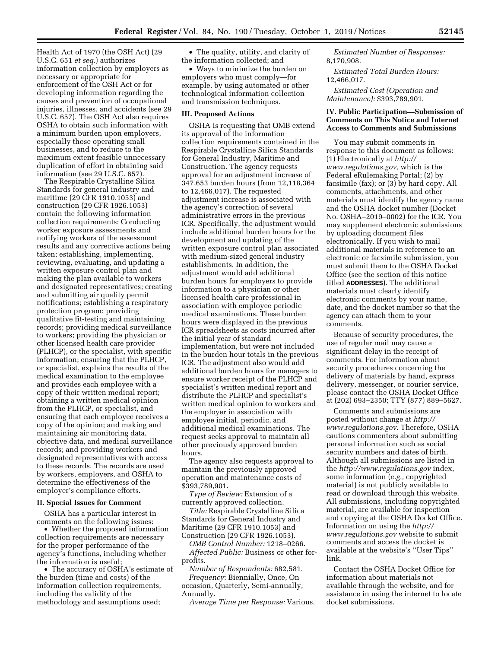Health Act of 1970 (the OSH Act) (29 U.S.C. 651 *et seq.*) authorizes information collection by employers as necessary or appropriate for enforcement of the OSH Act or for developing information regarding the causes and prevention of occupational injuries, illnesses, and accidents (see 29 U.S.C. 657). The OSH Act also requires OSHA to obtain such information with a minimum burden upon employers, especially those operating small businesses, and to reduce to the maximum extent feasible unnecessary duplication of effort in obtaining said information (see 29 U.S.C. 657).

The Respirable Crystalline Silica Standards for general industry and maritime (29 CFR 1910.1053) and construction (29 CFR 1926.1053) contain the following information collection requirements: Conducting worker exposure assessments and notifying workers of the assessment results and any corrective actions being taken; establishing, implementing, reviewing, evaluating, and updating a written exposure control plan and making the plan available to workers and designated representatives; creating and submitting air quality permit notifications; establishing a respiratory protection program; providing qualitative fit-testing and maintaining records; providing medical surveillance to workers; providing the physician or other licensed health care provider (PLHCP), or the specialist, with specific information; ensuring that the PLHCP, or specialist, explains the results of the medical examination to the employee and provides each employee with a copy of their written medical report; obtaining a written medical opinion from the PLHCP, or specialist, and ensuring that each employee receives a copy of the opinion; and making and maintaining air monitoring data, objective data, and medical surveillance records; and providing workers and designated representatives with access to these records. The records are used by workers, employers, and OSHA to determine the effectiveness of the employer's compliance efforts.

#### **II. Special Issues for Comment**

OSHA has a particular interest in comments on the following issues:

• Whether the proposed information collection requirements are necessary for the proper performance of the agency's functions, including whether the information is useful;

• The accuracy of OSHA's estimate of the burden (time and costs) of the information collection requirements, including the validity of the methodology and assumptions used;

• The quality, utility, and clarity of the information collected; and

• Ways to minimize the burden on employers who must comply—for example, by using automated or other technological information collection and transmission techniques.

#### **III. Proposed Actions**

OSHA is requesting that OMB extend its approval of the information collection requirements contained in the Respirable Crystalline Silica Standards for General Industry, Maritime and Construction. The agency requests approval for an adjustment increase of 347,653 burden hours (from 12,118,364 to 12,466,017). The requested adjustment increase is associated with the agency's correction of several administrative errors in the previous ICR. Specifically, the adjustment would include additional burden hours for the development and updating of the written exposure control plan associated with medium-sized general industry establishments. In addition, the adjustment would add additional burden hours for employers to provide information to a physician or other licensed health care professional in association with employee periodic medical examinations. These burden hours were displayed in the previous ICR spreadsheets as costs incurred after the initial year of standard implementation, but were not included in the burden hour totals in the previous ICR. The adjustment also would add additional burden hours for managers to ensure worker receipt of the PLHCP and specialist's written medical report and distribute the PLHCP and specialist's written medical opinion to workers and the employer in association with employee initial, periodic, and additional medical examinations. The request seeks approval to maintain all other previously approved burden hours.

The agency also requests approval to maintain the previously approved operation and maintenance costs of \$393,789,901.

*Type of Review:* Extension of a currently approved collection.

*Title:* Respirable Crystalline Silica Standards for General Industry and Maritime (29 CFR 1910.1053) and Construction (29 CFR 1926.1053).

*OMB Control Number:* 1218–0266. *Affected Public:* Business or other forprofits.

*Number of Respondents:* 682,581. *Frequency:* Biennially, Once, On occasion, Quarterly, Semi-annually, Annually.

*Average Time per Response:* Various.

*Estimated Number of Responses:*  8,170,908.

*Estimated Total Burden Hours:*  12,466,017.

*Estimated Cost (Operation and Maintenance):* \$393,789,901.

# **IV. Public Participation—Submission of Comments on This Notice and Internet Access to Comments and Submissions**

You may submit comments in response to this document as follows: (1) Electronically at *http:// www.regulations.gov,* which is the Federal eRulemaking Portal; (2) by facsimile (fax); or (3) by hard copy. All comments, attachments, and other materials must identify the agency name and the OSHA docket number (Docket No. OSHA–2019–0002) for the ICR. You may supplement electronic submissions by uploading document files electronically. If you wish to mail additional materials in reference to an electronic or facsimile submission, you must submit them to the OSHA Docket Office (see the section of this notice titled **ADDRESSES**). The additional materials must clearly identify electronic comments by your name, date, and the docket number so that the agency can attach them to your comments.

Because of security procedures, the use of regular mail may cause a significant delay in the receipt of comments. For information about security procedures concerning the delivery of materials by hand, express delivery, messenger, or courier service, please contact the OSHA Docket Office at (202) 693–2350; TTY (877) 889–5627.

Comments and submissions are posted without change at *http:// www.regulations.gov*. Therefore, OSHA cautions commenters about submitting personal information such as social security numbers and dates of birth. Although all submissions are listed in the *http://www.regulations.gov* index, some information (*e.g.,* copyrighted material) is not publicly available to read or download through this website. All submissions, including copyrighted material, are available for inspection and copying at the OSHA Docket Office. Information on using the *http:// www.regulations.gov* website to submit comments and access the docket is available at the website's ''User Tips'' link.

Contact the OSHA Docket Office for information about materials not available through the website, and for assistance in using the internet to locate docket submissions.